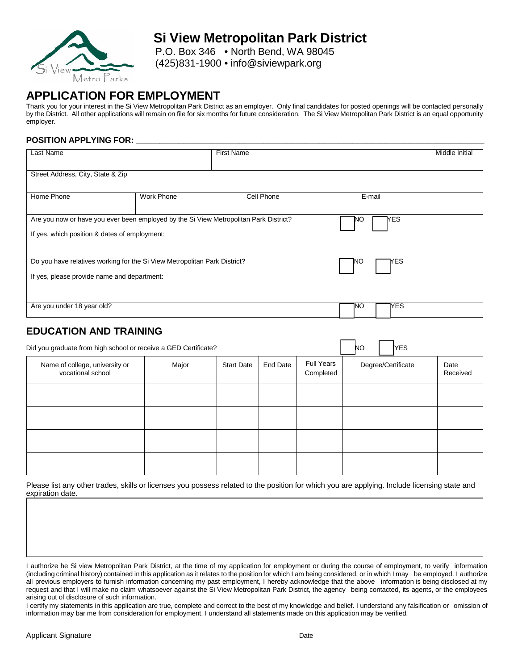

## **Si View Metropolitan Park District**

P.O. Box 346 • North Bend, WA 98045 (425)831-1900 • [info@siviewpark.org](mailto:info@siviewpark.org)

### **APPLICATION FOR EMPLOYMENT**

Thank you for your interest in the Si View Metropolitan Park District as an employer. Only final candidates for posted openings will be contacted personally by the District. All other applications will remain on file for six months for future consideration. The Si View Metropolitan Park District is an equal opportunity employer.

#### **POSITION APPLYING FOR: \_\_\_\_\_\_\_\_\_\_\_\_\_\_\_\_\_\_\_\_\_\_\_\_\_\_\_\_\_\_\_\_\_\_\_\_\_\_\_\_\_\_\_\_\_\_\_\_\_\_\_\_\_\_\_\_\_\_\_\_\_\_\_\_\_\_\_\_\_\_\_\_\_\_**

| Last Name                                                                             |                   | <b>First Name</b> |                   | Middle Initial |
|---------------------------------------------------------------------------------------|-------------------|-------------------|-------------------|----------------|
|                                                                                       |                   |                   |                   |                |
| Street Address, City, State & Zip                                                     |                   |                   |                   |                |
|                                                                                       |                   |                   |                   |                |
| Home Phone                                                                            | <b>Work Phone</b> | Cell Phone        | E-mail            |                |
|                                                                                       |                   |                   |                   |                |
| Are you now or have you ever been employed by the Si View Metropolitan Park District? |                   |                   | <b>T</b> ES<br>NΟ |                |
| If yes, which position & dates of employment:                                         |                   |                   |                   |                |
|                                                                                       |                   |                   |                   |                |
|                                                                                       |                   |                   |                   |                |
| Do you have relatives working for the Si View Metropolitan Park District?             |                   |                   | МES<br>'NΟ        |                |
| If yes, please provide name and department:                                           |                   |                   |                   |                |
|                                                                                       |                   |                   |                   |                |
|                                                                                       |                   |                   |                   |                |
| Are you under 18 year old?                                                            |                   |                   | YES.<br>1NO       |                |
|                                                                                       |                   |                   |                   |                |

#### **EDUCATION AND TRAINING**

| Did you graduate from high school or receive a GED Certificate? |       |                   |                 |                                | <b>YES</b><br><b>NO</b> |                  |
|-----------------------------------------------------------------|-------|-------------------|-----------------|--------------------------------|-------------------------|------------------|
| Name of college, university or<br>vocational school             | Major | <b>Start Date</b> | <b>End Date</b> | <b>Full Years</b><br>Completed | Degree/Certificate      | Date<br>Received |
|                                                                 |       |                   |                 |                                |                         |                  |
|                                                                 |       |                   |                 |                                |                         |                  |
|                                                                 |       |                   |                 |                                |                         |                  |
|                                                                 |       |                   |                 |                                |                         |                  |

Please list any other trades, skills or licenses you possess related to the position for which you are applying. Include licensing state and expiration date.

I authorize he Si view Metropolitan Park District, at the time of my application for employment or during the course of employment, to verify information (including criminal history) contained in this application as it relates to the position for which I am being considered, or in which I may be employed. I authorize all previous employers to furnish information concerning my past employment, I hereby acknowledge that the above information is being disclosed at my request and that I will make no claim whatsoever against the Si View Metropolitan Park District, the agency being contacted, its agents, or the employees arising out of disclosure of such information.

I certify my statements in this application are true, complete and correct to the best of my knowledge and belief. I understand any falsification or omission of information may bar me from consideration for employment. I understand all statements made on this application may be verified.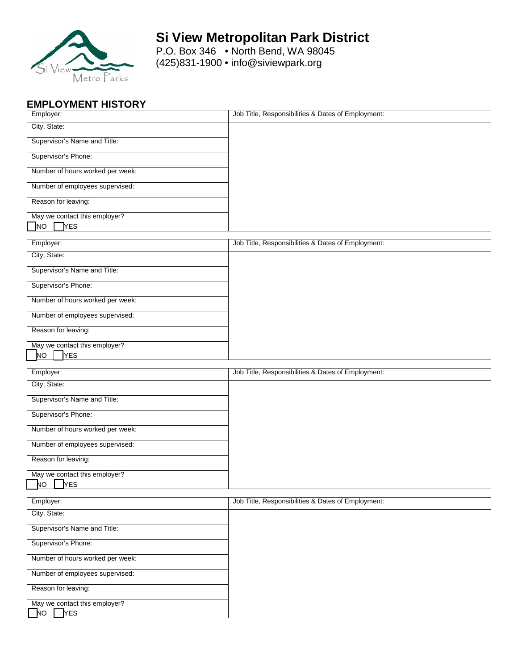

### **Si View Metropolitan Park District**

P.O. Box 346 • North Bend, WA 98045 (425)831-1900 • [info@siviewpark.org](mailto:info@siviewpark.org)

### **EMPLOYMENT HISTORY**

| Employer:                                        | Job Title, Responsibilities & Dates of Employment: |
|--------------------------------------------------|----------------------------------------------------|
| City, State:                                     |                                                    |
| Supervisor's Name and Title:                     |                                                    |
| Supervisor's Phone:                              |                                                    |
| Number of hours worked per week:                 |                                                    |
| Number of employees supervised:                  |                                                    |
| Reason for leaving:                              |                                                    |
| May we contact this employer?                    |                                                    |
| NO<br><b>YES</b>                                 |                                                    |
| Employer:                                        | Job Title, Responsibilities & Dates of Employment: |
| City, State:                                     |                                                    |
| Supervisor's Name and Title:                     |                                                    |
| Supervisor's Phone:                              |                                                    |
| Number of hours worked per week:                 |                                                    |
| Number of employees supervised:                  |                                                    |
| Reason for leaving:                              |                                                    |
| May we contact this employer?                    |                                                    |
| NO<br><b>YES</b>                                 |                                                    |
|                                                  |                                                    |
| Employer:                                        | Job Title, Responsibilities & Dates of Employment: |
| City, State:                                     |                                                    |
| Supervisor's Name and Title:                     |                                                    |
| Supervisor's Phone:                              |                                                    |
| Number of hours worked per week:                 |                                                    |
| Number of employees supervised:                  |                                                    |
| Reason for leaving:                              |                                                    |
| May we contact this employer?                    |                                                    |
| NО<br><b>YES</b>                                 |                                                    |
| Employer:                                        | Job Title, Responsibilities & Dates of Employment: |
| City, State:                                     |                                                    |
| Supervisor's Name and Title:                     |                                                    |
| Supervisor's Phone:                              |                                                    |
| Number of hours worked per week:                 |                                                    |
| Number of employees supervised:                  |                                                    |
| Reason for leaving:                              |                                                    |
| May we contact this employer?<br>N<br><b>YES</b> |                                                    |